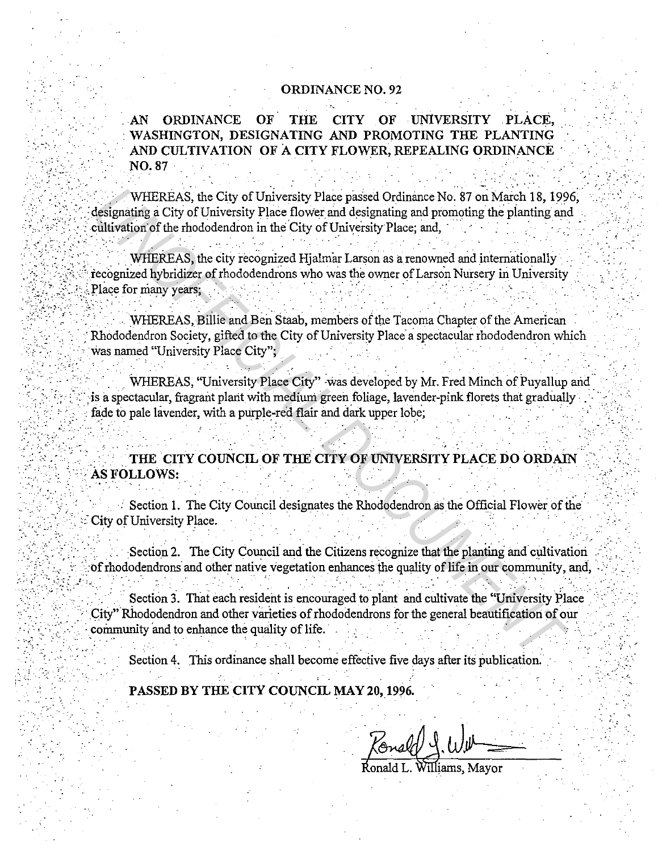## **ORDINANCE NO. 92**

**ORDINANCE** OF THE CITY OF UNIVERSITY PLACE,  $AN$ WASHINGTON, DESIGNATING AND PROMOTING THE PLANTING AND CULTIVATION OF A CITY FLOWER, REPEALING ORDINANCE **NO. 87** 

WHEREAS, the City of University Place passed Ordinance No. 87 on March 18, 1996. designating a City of University Place flower and designating and promoting the planting and cultivation of the rhododendron in the City of University Place; and,

WHEREAS, the city recognized Hjalmar Larson as a renowned and internationally recognized hybridizer of rhododendrons who was the owner of Larson Nursery in University Place for many years;

WHEREAS, Billie and Ben Staab, members of the Tacoma Chapter of the American Rhododendron Society, gifted to the City of University Place a spectacular rhododendron which was named "University Place City":

WHEREAS, "University Place City" was developed by Mr. Fred Minch of Puyallup and is a spectacular, fragrant plant with medium green foliage, lavender-pink florets that gradually fade to pale lavender, with a purple-red flair and dark upper lobe;

THE CITY COUNCIL OF THE CITY OF UNIVERSITY PLACE DO ORDAIN AS FOLLOWS:

Section 1. The City Council designates the Rhododendron as the Official Flower of the City of University Place.

Section 2. The City Council and the Citizens recognize that the planting and cultivation of rhododendrons and other native vegetation enhances the quality of life in our community, and,

Section 3. That each resident is encouraged to plant and cultivate the "University Place City" Rhododendron and other varieties of rhododendrons for the general beautification of our community and to enhance the quality of life.

Section 4. This ordinance shall become effective five days after its publication.

PASSED BY THE CITY COUNCIL MAY 20, 1996.

Fonald J. Williams, Mayor